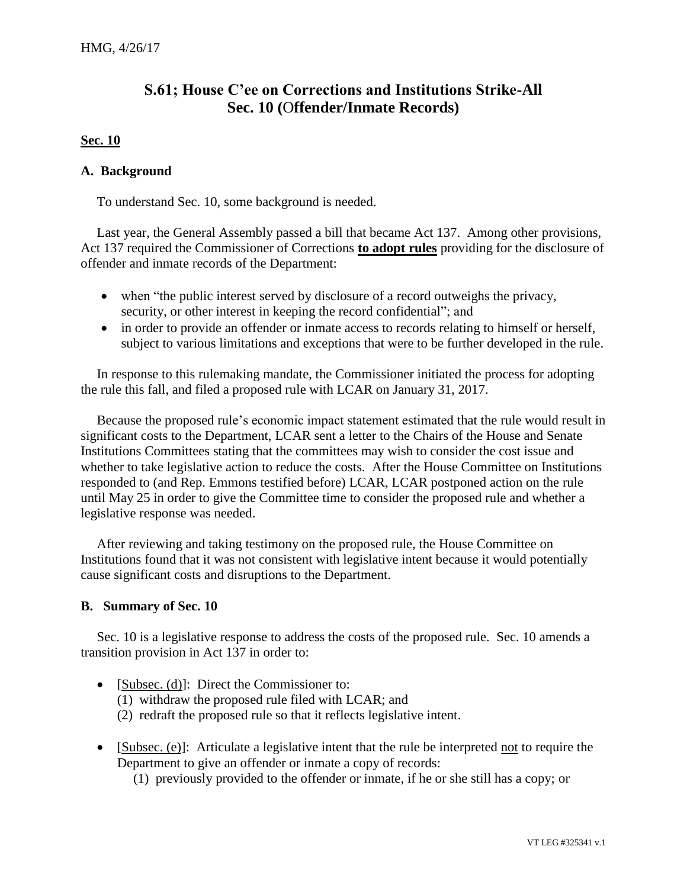## **S.61; House C'ee on Corrections and Institutions Strike-All Sec. 10 (**O**ffender/Inmate Records)**

## **Sec. 10**

## **A. Background**

To understand Sec. 10, some background is needed.

Last year, the General Assembly passed a bill that became Act 137. Among other provisions, Act 137 required the Commissioner of Corrections **to adopt rules** providing for the disclosure of offender and inmate records of the Department:

- when "the public interest served by disclosure of a record outweighs the privacy, security, or other interest in keeping the record confidential"; and
- in order to provide an offender or inmate access to records relating to himself or herself, subject to various limitations and exceptions that were to be further developed in the rule.

In response to this rulemaking mandate, the Commissioner initiated the process for adopting the rule this fall, and filed a proposed rule with LCAR on January 31, 2017.

Because the proposed rule's economic impact statement estimated that the rule would result in significant costs to the Department, LCAR sent a letter to the Chairs of the House and Senate Institutions Committees stating that the committees may wish to consider the cost issue and whether to take legislative action to reduce the costs. After the House Committee on Institutions responded to (and Rep. Emmons testified before) LCAR, LCAR postponed action on the rule until May 25 in order to give the Committee time to consider the proposed rule and whether a legislative response was needed.

After reviewing and taking testimony on the proposed rule, the House Committee on Institutions found that it was not consistent with legislative intent because it would potentially cause significant costs and disruptions to the Department.

## **B. Summary of Sec. 10**

Sec. 10 is a legislative response to address the costs of the proposed rule. Sec. 10 amends a transition provision in Act 137 in order to:

- [Subsec. (d)]: Direct the Commissioner to:
	- (1) withdraw the proposed rule filed with LCAR; and
	- (2) redraft the proposed rule so that it reflects legislative intent.
- [Subsec. (e)]: Articulate a legislative intent that the rule be interpreted not to require the Department to give an offender or inmate a copy of records:
	- (1) previously provided to the offender or inmate, if he or she still has a copy; or